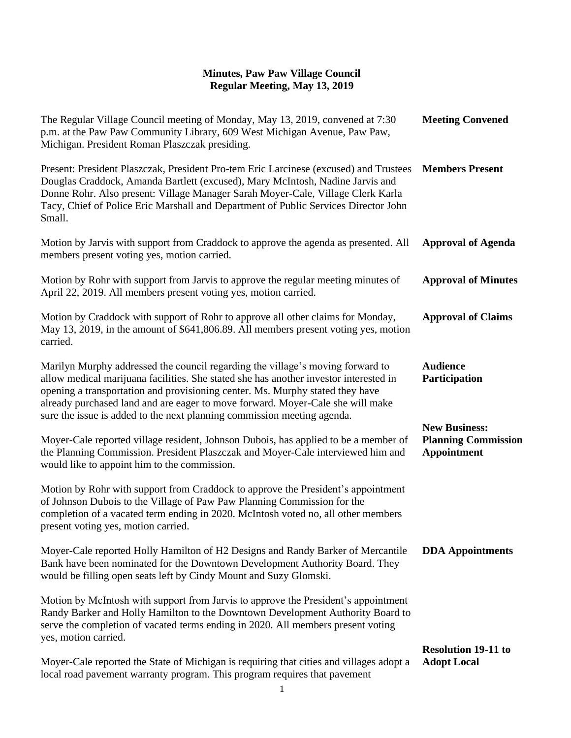| The Regular Village Council meeting of Monday, May 13, 2019, convened at 7:30<br>p.m. at the Paw Paw Community Library, 609 West Michigan Avenue, Paw Paw,<br>Michigan. President Roman Plaszczak presiding.                                                                                                                                                                                                          | <b>Meeting Convened</b>                                                  |
|-----------------------------------------------------------------------------------------------------------------------------------------------------------------------------------------------------------------------------------------------------------------------------------------------------------------------------------------------------------------------------------------------------------------------|--------------------------------------------------------------------------|
| Present: President Plaszczak, President Pro-tem Eric Larcinese (excused) and Trustees<br>Douglas Craddock, Amanda Bartlett (excused), Mary McIntosh, Nadine Jarvis and<br>Donne Rohr. Also present: Village Manager Sarah Moyer-Cale, Village Clerk Karla<br>Tacy, Chief of Police Eric Marshall and Department of Public Services Director John<br>Small.                                                            | <b>Members Present</b>                                                   |
| Motion by Jarvis with support from Craddock to approve the agenda as presented. All<br>members present voting yes, motion carried.                                                                                                                                                                                                                                                                                    | <b>Approval of Agenda</b>                                                |
| Motion by Rohr with support from Jarvis to approve the regular meeting minutes of<br>April 22, 2019. All members present voting yes, motion carried.                                                                                                                                                                                                                                                                  | <b>Approval of Minutes</b>                                               |
| Motion by Craddock with support of Rohr to approve all other claims for Monday,<br>May 13, 2019, in the amount of \$641,806.89. All members present voting yes, motion<br>carried.                                                                                                                                                                                                                                    | <b>Approval of Claims</b>                                                |
| Marilyn Murphy addressed the council regarding the village's moving forward to<br>allow medical marijuana facilities. She stated she has another investor interested in<br>opening a transportation and provisioning center. Ms. Murphy stated they have<br>already purchased land and are eager to move forward. Moyer-Cale she will make<br>sure the issue is added to the next planning commission meeting agenda. | <b>Audience</b><br>Participation                                         |
| Moyer-Cale reported village resident, Johnson Dubois, has applied to be a member of<br>the Planning Commission. President Plaszczak and Moyer-Cale interviewed him and<br>would like to appoint him to the commission.                                                                                                                                                                                                | <b>New Business:</b><br><b>Planning Commission</b><br><b>Appointment</b> |
| Motion by Rohr with support from Craddock to approve the President's appointment<br>of Johnson Dubois to the Village of Paw Paw Planning Commission for the<br>completion of a vacated term ending in 2020. McIntosh voted no, all other members<br>present voting yes, motion carried.                                                                                                                               |                                                                          |
| Moyer-Cale reported Holly Hamilton of H2 Designs and Randy Barker of Mercantile<br>Bank have been nominated for the Downtown Development Authority Board. They<br>would be filling open seats left by Cindy Mount and Suzy Glomski.                                                                                                                                                                                   | <b>DDA</b> Appointments                                                  |
| Motion by McIntosh with support from Jarvis to approve the President's appointment<br>Randy Barker and Holly Hamilton to the Downtown Development Authority Board to<br>serve the completion of vacated terms ending in 2020. All members present voting<br>yes, motion carried.                                                                                                                                      |                                                                          |
| Moyer-Cale reported the State of Michigan is requiring that cities and villages adopt a<br>local road pavement warranty program. This program requires that pavement                                                                                                                                                                                                                                                  | <b>Resolution 19-11 to</b><br><b>Adopt Local</b>                         |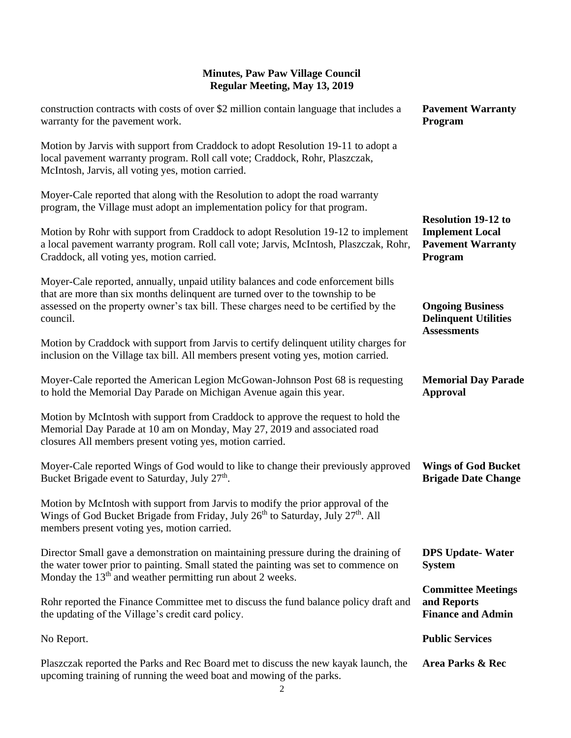| construction contracts with costs of over \$2 million contain language that includes a<br>warranty for the pavement work.                                                                                                                                               | <b>Pavement Warranty</b><br>Program                                                         |
|-------------------------------------------------------------------------------------------------------------------------------------------------------------------------------------------------------------------------------------------------------------------------|---------------------------------------------------------------------------------------------|
| Motion by Jarvis with support from Craddock to adopt Resolution 19-11 to adopt a<br>local pavement warranty program. Roll call vote; Craddock, Rohr, Plaszczak,<br>McIntosh, Jarvis, all voting yes, motion carried.                                                    |                                                                                             |
| Moyer-Cale reported that along with the Resolution to adopt the road warranty<br>program, the Village must adopt an implementation policy for that program.                                                                                                             |                                                                                             |
| Motion by Rohr with support from Craddock to adopt Resolution 19-12 to implement<br>a local pavement warranty program. Roll call vote; Jarvis, McIntosh, Plaszczak, Rohr,<br>Craddock, all voting yes, motion carried.                                                  | <b>Resolution 19-12 to</b><br><b>Implement Local</b><br><b>Pavement Warranty</b><br>Program |
| Moyer-Cale reported, annually, unpaid utility balances and code enforcement bills<br>that are more than six months delinquent are turned over to the township to be<br>assessed on the property owner's tax bill. These charges need to be certified by the<br>council. | <b>Ongoing Business</b><br><b>Delinquent Utilities</b><br><b>Assessments</b>                |
| Motion by Craddock with support from Jarvis to certify delinquent utility charges for<br>inclusion on the Village tax bill. All members present voting yes, motion carried.                                                                                             |                                                                                             |
| Moyer-Cale reported the American Legion McGowan-Johnson Post 68 is requesting<br>to hold the Memorial Day Parade on Michigan Avenue again this year.                                                                                                                    | <b>Memorial Day Parade</b><br><b>Approval</b>                                               |
| Motion by McIntosh with support from Craddock to approve the request to hold the<br>Memorial Day Parade at 10 am on Monday, May 27, 2019 and associated road<br>closures All members present voting yes, motion carried.                                                |                                                                                             |
| Moyer-Cale reported Wings of God would to like to change their previously approved<br>Bucket Brigade event to Saturday, July 27 <sup>th</sup> .                                                                                                                         | <b>Wings of God Bucket</b><br><b>Brigade Date Change</b>                                    |
| Motion by McIntosh with support from Jarvis to modify the prior approval of the<br>Wings of God Bucket Brigade from Friday, July 26 <sup>th</sup> to Saturday, July 27 <sup>th</sup> . All<br>members present voting yes, motion carried.                               |                                                                                             |
| Director Small gave a demonstration on maintaining pressure during the draining of<br>the water tower prior to painting. Small stated the painting was set to commence on<br>Monday the 13 <sup>th</sup> and weather permitting run about 2 weeks.                      | <b>DPS Update-Water</b><br><b>System</b>                                                    |
| Rohr reported the Finance Committee met to discuss the fund balance policy draft and<br>the updating of the Village's credit card policy.                                                                                                                               | <b>Committee Meetings</b><br>and Reports<br><b>Finance and Admin</b>                        |
| No Report.                                                                                                                                                                                                                                                              | <b>Public Services</b>                                                                      |
| Plaszczak reported the Parks and Rec Board met to discuss the new kayak launch, the<br>upcoming training of running the weed boat and mowing of the parks.                                                                                                              | Area Parks & Rec                                                                            |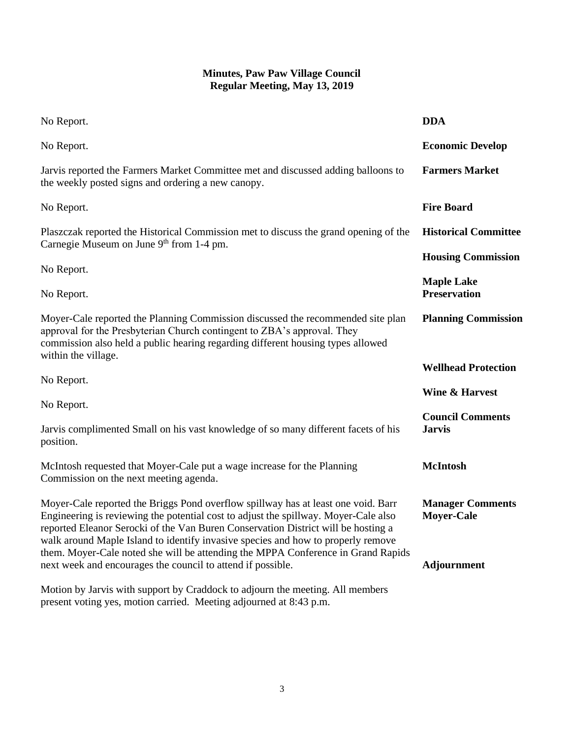| No Report.                                                                                                                                                                                                                                                                                                                                                                                                                                                                                           | <b>DDA</b>                                                         |
|------------------------------------------------------------------------------------------------------------------------------------------------------------------------------------------------------------------------------------------------------------------------------------------------------------------------------------------------------------------------------------------------------------------------------------------------------------------------------------------------------|--------------------------------------------------------------------|
| No Report.                                                                                                                                                                                                                                                                                                                                                                                                                                                                                           | <b>Economic Develop</b>                                            |
| Jarvis reported the Farmers Market Committee met and discussed adding balloons to<br>the weekly posted signs and ordering a new canopy.                                                                                                                                                                                                                                                                                                                                                              | <b>Farmers Market</b>                                              |
| No Report.                                                                                                                                                                                                                                                                                                                                                                                                                                                                                           | <b>Fire Board</b>                                                  |
| Plaszczak reported the Historical Commission met to discuss the grand opening of the<br>Carnegie Museum on June 9 <sup>th</sup> from 1-4 pm.                                                                                                                                                                                                                                                                                                                                                         | <b>Historical Committee</b>                                        |
|                                                                                                                                                                                                                                                                                                                                                                                                                                                                                                      | <b>Housing Commission</b>                                          |
| No Report.<br>No Report.                                                                                                                                                                                                                                                                                                                                                                                                                                                                             | <b>Maple Lake</b><br><b>Preservation</b>                           |
| Moyer-Cale reported the Planning Commission discussed the recommended site plan<br>approval for the Presbyterian Church contingent to ZBA's approval. They<br>commission also held a public hearing regarding different housing types allowed<br>within the village.                                                                                                                                                                                                                                 | <b>Planning Commission</b>                                         |
|                                                                                                                                                                                                                                                                                                                                                                                                                                                                                                      | <b>Wellhead Protection</b>                                         |
| No Report.                                                                                                                                                                                                                                                                                                                                                                                                                                                                                           | <b>Wine &amp; Harvest</b>                                          |
| No Report.<br>Jarvis complimented Small on his vast knowledge of so many different facets of his<br>position.                                                                                                                                                                                                                                                                                                                                                                                        | <b>Council Comments</b><br><b>Jarvis</b>                           |
| McIntosh requested that Moyer-Cale put a wage increase for the Planning<br>Commission on the next meeting agenda.                                                                                                                                                                                                                                                                                                                                                                                    | <b>McIntosh</b>                                                    |
| Moyer-Cale reported the Briggs Pond overflow spillway has at least one void. Barr<br>Engineering is reviewing the potential cost to adjust the spillway. Moyer-Cale also<br>reported Eleanor Serocki of the Van Buren Conservation District will be hosting a<br>walk around Maple Island to identify invasive species and how to properly remove<br>them. Moyer-Cale noted she will be attending the MPPA Conference in Grand Rapids<br>next week and encourages the council to attend if possible. | <b>Manager Comments</b><br><b>Moyer-Cale</b><br><b>Adjournment</b> |
| Motion by Jarvis with support by Craddock to adjourn the meeting. All members<br>present voting yes, motion carried. Meeting adjourned at 8:43 p.m.                                                                                                                                                                                                                                                                                                                                                  |                                                                    |